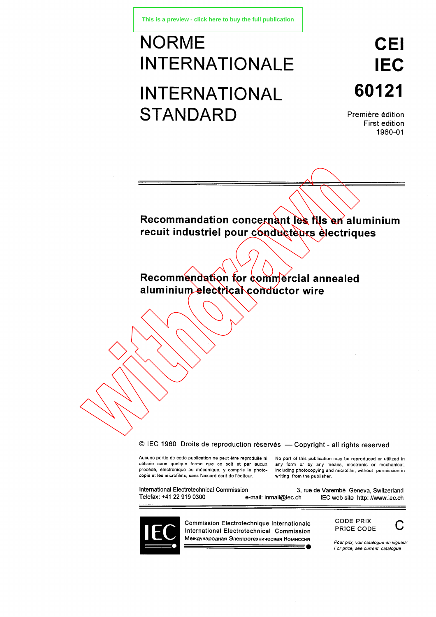# NORME INTERNATIONALE INTERNATIONAL **STANDARD**

# **CEI IEC 60121**

Première édition First edition 1960-01

**Recommandation concernant les fils en aluminium recuit industriel pour conducteurs électriques**

**Recommendation for commercial annealed aluminium electrical conductor wire**

© IEC 1960 Droits de reproduction réservés — Copyright - all rights reserved

Aucune partie de cette publication ne peut être reproduite ni utilisée sous quelque forme que ce soit et par aucun procédé, électronique ou mécanique, y compris la photocopie et les microfilms, sans l'accord écrit de l'éditeur.

No part of this publication may be reproduced or utilized in any form or by any means, electronic or mechanical, including photocopying and microfilm, without permission in writing from the publisher.

COMEC 1960 Droits de reproduction réservés — Copyright - all rights reserved<br>Aucune partie de cette publication ne peut être reproduite ni No part of this publication may be reproduced or utilized<br>intilisée sous quelque fo CODE DRIX

•



Commission Electrotechnique Internationale International Electrotechnical Commission Международная Электротехническая Номиссия

CODE PRIX PRICE CODE



*Pour prix, voir catalogue en vigueur For price, see current catalogue*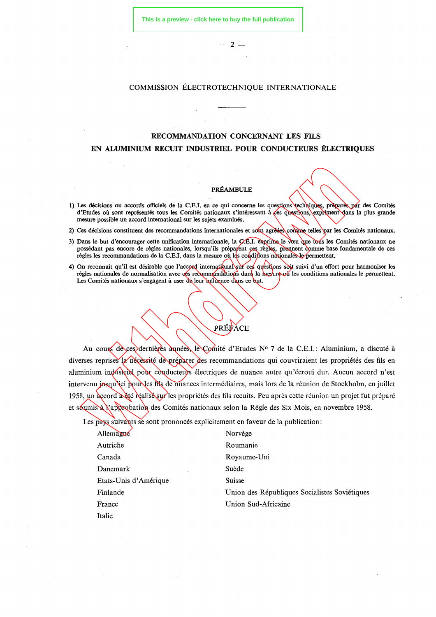$-2-$ 

### COMMISSION ÉLECTROTECHNIQUE INTERNATIONALE

## **RECOMMANDATION CONCERNANT LES FILS EN ALUMINIUM RECUIT INDUSTRIEL POUR CONDUCTEURS ÉLECTRIQUES**

#### PRÉAMBULE

- 1) Les décisions ou accords officiels de la C.E.I. en ce qui concerne les questions techniques, préparés par des Comités d'Etudes où sont représentés tous les Comités nationaux s'intéressant à ces questions, expriment dans la plus grande mesure possible un accord international sur les sujets examinés.
- 2) Ces décisions constituent des recommandations internationales et sont agréées comme telles par les Comités nationaux.
- 3) Dans le but d'encourager cette unification internationale, la C.E.I. exprime le vœu que tous les Comités nationaux ne possédant pas encore de règles nationales, lorsqu'ils préparent ces règles, prennent comme base fondamentale de ces règles les recommandations de la C.E.I. dans la mesure où les conditions nationales le permettent.
- 4) On reconnaît qu'il est désirable que l'accord international sur ces questions soit suivi d'un effort pour harmoniser les règles nationales de normalisation avec ces recommandations dans la mesure où les conditions nationales le permettent. Les Comités nationaux s'engagent à user de leur influence dans *ce* but.

Au cours de ces dernières années, le Comité d'Etudes N° 7 de la C.E.I.: Aluminium, a discuté à diverses reprises la nécessité de préparer des recommandations qui couvriraient les propriétés des fils en aluminium industriel pour conducteurs électriques de nuance autre qu'écroui dur. Aucun accord n'est intervenu jusqu'ici pour les fils de nuances intermédiaires, mais lors de la réunion de Stockholm, en juillet 1958, un accord a été réalisé sur les propriétés des fils recuits. Peu après cette réunion un projet fut préparé et soumis à l'approbation des Comités nationaux selon la Règle des Six Mois, en novembre 1958.

PRÉFACE

Les pays suivants se sont prononcés explicitement en faveur de la publication:

| Allemagne             | Norvège                                       |
|-----------------------|-----------------------------------------------|
| Autriche              | Roumanie                                      |
| Canada                | Royaume-Uni                                   |
| Danemark              | Suède                                         |
| Etats-Unis d'Amérique | <b>Suisse</b>                                 |
| Finlande              | Union des Républiques Socialistes Soviétiques |
| France                | Union Sud-Africaine                           |
| Italie                |                                               |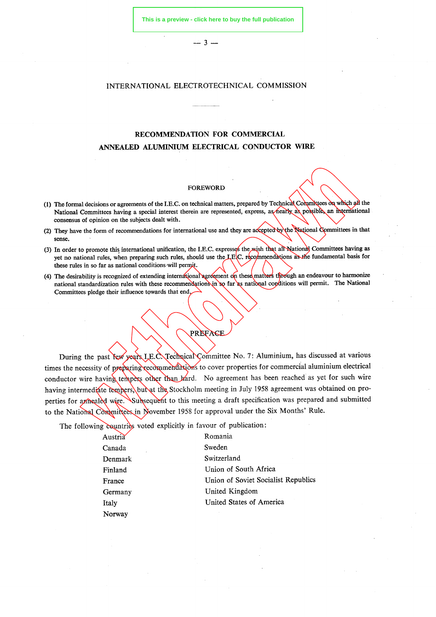— 3 —

### INTERNATIONAL ELECTROTECHNICAL **COMMISSION**

# **RECOMMENDATION FOR COMMERCIAL ANNEALED ALUMINIUM ELECTRICAL CONDUCTOR WIRE**

#### FOREWORD

- (1) The formal decisions or agreements of the I.E.C. on technical matters, prepared by Technical Committees on which all the National Committees having a special interest therein are represented, express, as hearly as possible, an international consensus of opinion on the subjects dealt with.
- (2) They have the form of recommendations for international use and they are accepted by the National Committees in that sense.
- (3) In order to promote this international unification, the I.E.C. expresses the wish that all National Committees having as yet no national rules, when preparing such rules, should use the LEC. recommendations as the fundamental basis for these rules in so far as national conditions will permit.
- (4) The desirability is recognized of extending international agreement on these matters through an endeavour to harmonize national standardization rules with these recommendations in so far as national conditions will permit. The National Committees pledge their influence towards that end.

## PREFACE

During the past few years I.E.C. Technical Committee No. 7: Aluminium, has discussed at various times the necessity of preparing recommendations to cover properties for commercial aluminium electrical conductor wire having tempers other than hard. No agreement has been reached as yet for such wire having intermediate tempers, but at the Stockholm meeting in July 1958 agreement was obtained on properties for annealed wire. Subsequent to this meeting a draft specification was prepared and submitted to the National Committees in November 1958 for approval under the Six Months' Rule.

The following countries voted explicitly in favour of publication:

| Austria     | Romania                             |
|-------------|-------------------------------------|
| Canada<br>٠ | Sweden                              |
| Denmark     | Switzerland                         |
| Finland     | Union of South Africa               |
| France      | Union of Soviet Socialist Republics |
| Germany     | United Kingdom                      |
| Italy       | United States of America            |
| Norway      |                                     |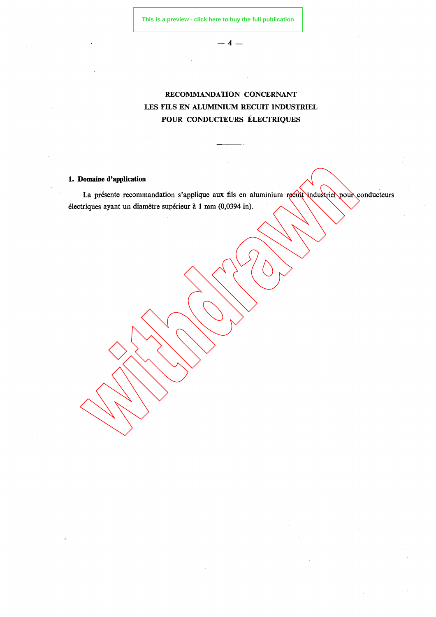**— 4 —**

# RECOMMANDATION CONCERNANT LES FILS EN ALUMINIUM RECUIT INDUSTRIEL POUR CONDUCTEURS ÉLECTRIQUES

## **1. Domaine d'application**

La présente recommandation s'applique aux fils en aluminium recuit industriel pour conducteurs électriques ayant un diamètre supérieur à 1 mm (0,0394 in).